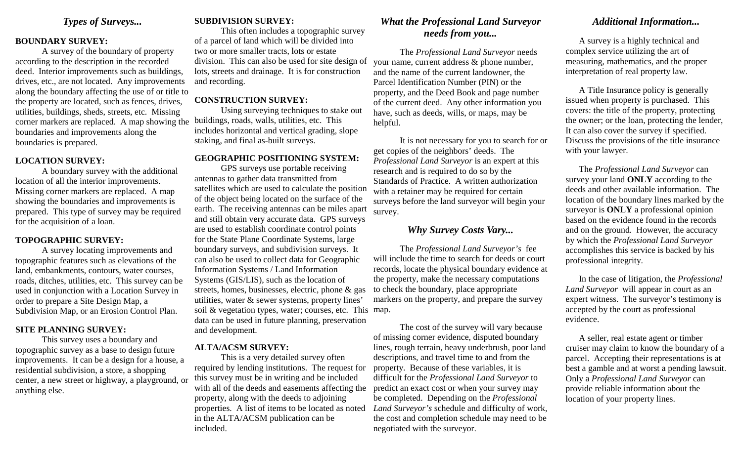# *Types of Surveys...*

#### **BOUNDARY SURVEY:**

 A survey of the boundary of property according to the description in the recorded deed. Interior improvements such as buildings, drives, etc., are not located. Any improvements along the boundary affecting the use of or title to the property are located, such as fences, drives, utilities, buildings, sheds, streets, etc. Missing corner markers are replaced. A map showing the boundaries and improvements along the boundaries is prepared.

#### **LOCATION SURVEY:**

A boundary survey with the additional location of all the interior improvements. Missing corner markers are replaced. A map showing the boundaries and improvements is prepared. This type of survey may be required for the acquisition of a loan.

#### **TOPOGRAPHIC SURVEY:**

 A survey locating improvements and topographic features such as elevations of the land, embankments, contours, water courses, roads, ditches, utilities, etc. This survey can be used in conjunction with a Location Survey in order to prepare a Site Design Map, a Subdivision Map, or an Erosion Control Plan.

#### **SITE PLANNING SURVEY:**

 This survey uses a boundary and topographic survey as a base to design future improvements. It can be a design for a house, a residential subdivision, a store, a shopping center, a new street or highway, a playground, or anything else.

### **SUBDIVISION SURVEY:**

 This often includes a topographic survey of a parcel of land which will be divided into two or more smaller tracts, lots or estate division. This can also be used for site design of lots, streets and drainage. It is for construction and recording.

#### **CONSTRUCTION SURVEY:**

 Using surveying techniques to stake out buildings, roads, walls, utilities, etc. This includes horizontal and vertical grading, slope staking, and final as-built surveys.

## **GEOGRAPHIC POSITIONING SYSTEM:**

 GPS surveys use portable receiving antennas to gather data transmitted from satellites which are used to calculate the position of the object being located on the surface of the earth. The receiving antennas can be miles apart and still obtain very accurate data. GPS surveys are used to establish coordinate control points for the State Plane Coordinate Systems, large boundary surveys, and subdivision surveys. It can also be used to collect data for Geographic Information Systems / Land Information Systems (GIS/LIS), such as the location of streets, homes, businesses, electric, phone & gas utilities, water & sewer systems, property lines' soil & vegetation types, water; courses, etc. This map. data can be used in future planning, preservation and development.

#### **ALTA/ACSM SURVEY:**

 This is a very detailed survey often required by lending institutions. The request for this survey must be in writing and be included with all of the deeds and easements affecting the property, along with the deeds to adjoining properties. A list of items to be located as noted in the ALTA/ACSM publication can be included.

# *What the Professional Land Surveyor needs from you...*

 The *Professional Land Surveyor* needs your name, current address & phone number, and the name of the current landowner, the Parcel Identification Number (PIN) or the property, and the Deed Book and page number of the current deed. Any other information you have, such as deeds, wills, or maps, may be helpful.

 It is not necessary for you to search for or get copies of the neighbors' deeds. The *Professional Land Surveyor* is an expert at this research and is required to do so by the Standards of Practice. A written authorization with a retainer may be required for certain surveys before the land surveyor will begin your survey.

# *Why Survey Costs Vary...*

 The *Professional Land Surveyor's* fee will include the time to search for deeds or court records, locate the physical boundary evidence at the property, make the necessary computations to check the boundary, place appropriate markers on the property, and prepare the survey

 The cost of the survey will vary because of missing corner evidence, disputed boundary lines, rough terrain, heavy underbrush, poor land descriptions, and travel time to and from the property. Because of these variables, it is difficult for the *Professional Land Surveyor* to predict an exact cost or when your survey may be completed. Depending on the *Professional Land Surveyor's* schedule and difficulty of work, the cost and completion schedule may need to be negotiated with the surveyor.

# *Additional Information...*

 A survey is a highly technical and complex service utilizing the art of measuring, mathematics, and the proper interpretation of real property law.

 A Title Insurance policy is generally issued when property is purchased. This covers: the title of the property, protecting the owner; or the loan, protecting the lender, It can also cover the survey if specified. Discuss the provisions of the title insurance with your lawyer.

 The *Professional Land Surveyor* can survey your land **ONLY** according to the deeds and other available information. The location of the boundary lines marked by the surveyor is **ONLY** a professional opinion based on the evidence found in the records and on the ground. However, the accuracy by which the *Professional Land Surveyor*  accomplishes this service is backed by his professional integrity.

 In the case of litigation, the *Professional Land Surveyor* will appear in court as an expert witness. The surveyor's testimony is accepted by the court as professional evidence.

 A seller, real estate agent or timber cruiser may claim to know the boundary of a parcel. Accepting their representations is at best a gamble and at worst a pending lawsuit. Only a *Professional Land Surveyor* can provide reliable information about the location of your property lines.